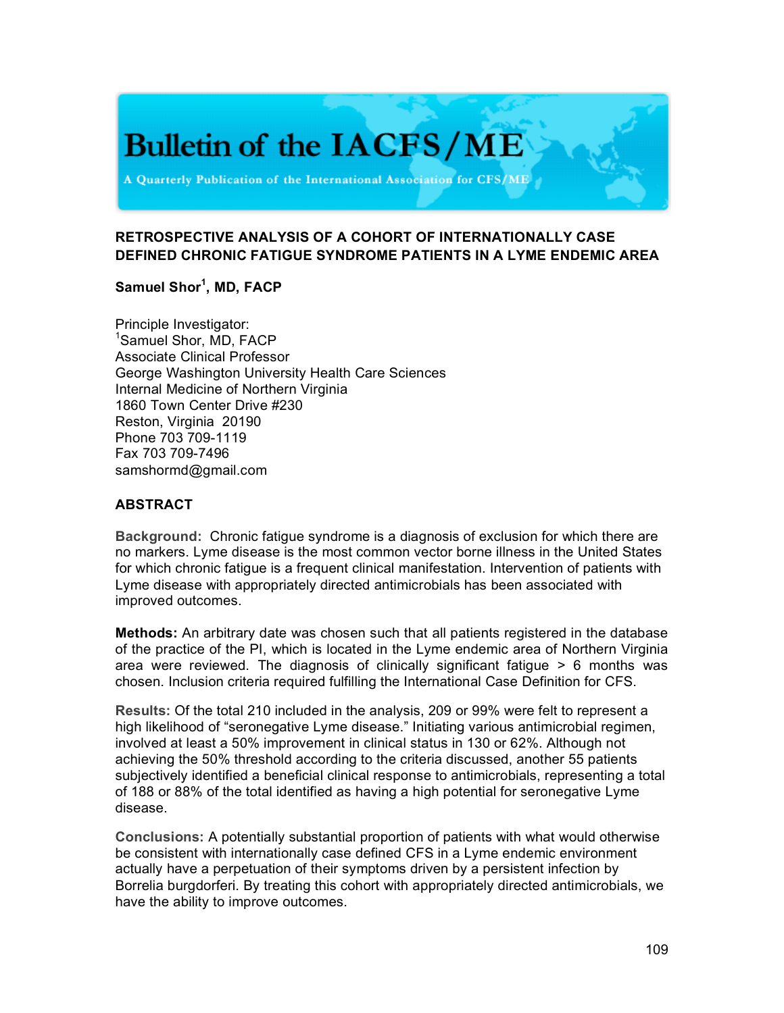# **Bulletin of the IACFS/ME**

A Quarterly Publication of the International Association for CFS/ME

# **RETROSPECTIVE ANALYSIS OF A COHORT OF INTERNATIONALLY CASE DEFINED CHRONIC FATIGUE SYNDROME PATIENTS IN A LYME ENDEMIC AREA**

### **Samuel Shor<sup>1</sup> , MD, FACP**

Principle Investigator: 1 Samuel Shor, MD, FACP Associate Clinical Professor George Washington University Health Care Sciences Internal Medicine of Northern Virginia 1860 Town Center Drive #230 Reston, Virginia 20190 Phone 703 709-1119 Fax 703 709-7496 samshormd@gmail.com

#### **ABSTRACT**

**Background:** Chronic fatigue syndrome is a diagnosis of exclusion for which there are no markers. Lyme disease is the most common vector borne illness in the United States for which chronic fatigue is a frequent clinical manifestation. Intervention of patients with Lyme disease with appropriately directed antimicrobials has been associated with improved outcomes.

**Methods:** An arbitrary date was chosen such that all patients registered in the database of the practice of the PI, which is located in the Lyme endemic area of Northern Virginia area were reviewed. The diagnosis of clinically significant fatigue > 6 months was chosen. Inclusion criteria required fulfilling the International Case Definition for CFS.

**Results:** Of the total 210 included in the analysis, 209 or 99% were felt to represent a high likelihood of "seronegative Lyme disease." Initiating various antimicrobial regimen, involved at least a 50% improvement in clinical status in 130 or 62%. Although not achieving the 50% threshold according to the criteria discussed, another 55 patients subjectively identified a beneficial clinical response to antimicrobials, representing a total of 188 or 88% of the total identified as having a high potential for seronegative Lyme disease.

**Conclusions:** A potentially substantial proportion of patients with what would otherwise be consistent with internationally case defined CFS in a Lyme endemic environment actually have a perpetuation of their symptoms driven by a persistent infection by Borrelia burgdorferi. By treating this cohort with appropriately directed antimicrobials, we have the ability to improve outcomes.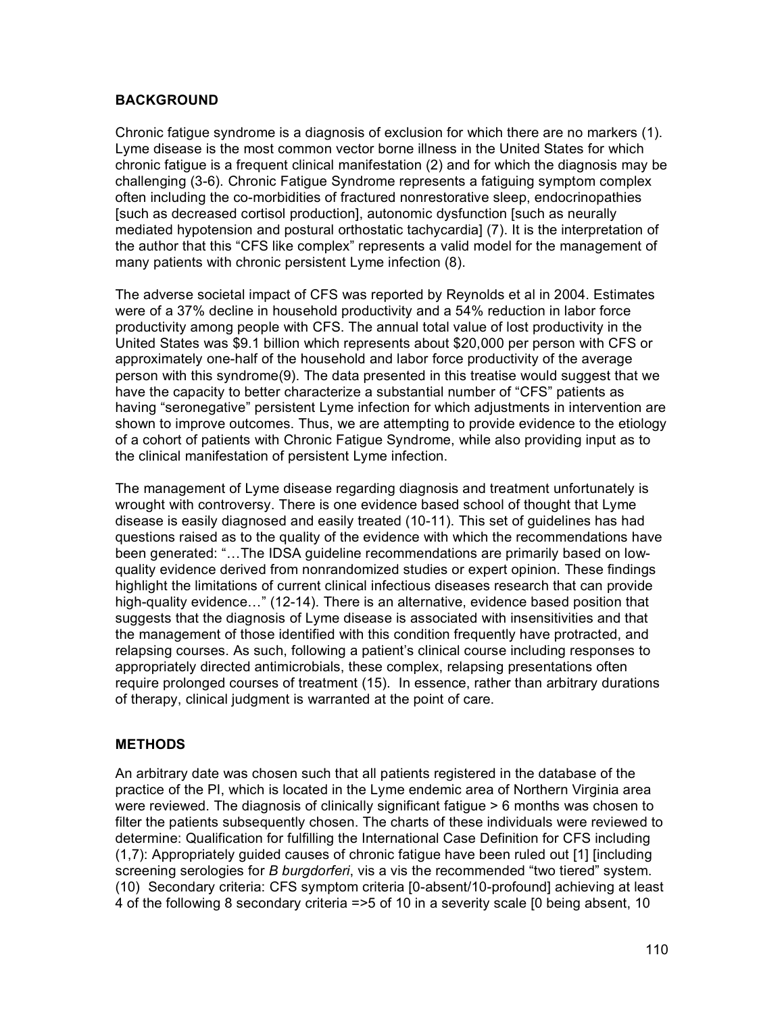#### **BACKGROUND**

Chronic fatigue syndrome is a diagnosis of exclusion for which there are no markers (1). Lyme disease is the most common vector borne illness in the United States for which chronic fatigue is a frequent clinical manifestation (2) and for which the diagnosis may be challenging (3-6). Chronic Fatigue Syndrome represents a fatiguing symptom complex often including the co-morbidities of fractured nonrestorative sleep, endocrinopathies [such as decreased cortisol production], autonomic dysfunction [such as neurally mediated hypotension and postural orthostatic tachycardia] (7). It is the interpretation of the author that this "CFS like complex" represents a valid model for the management of many patients with chronic persistent Lyme infection (8).

The adverse societal impact of CFS was reported by Reynolds et al in 2004. Estimates were of a 37% decline in household productivity and a 54% reduction in labor force productivity among people with CFS. The annual total value of lost productivity in the United States was \$9.1 billion which represents about \$20,000 per person with CFS or approximately one-half of the household and labor force productivity of the average person with this syndrome(9). The data presented in this treatise would suggest that we have the capacity to better characterize a substantial number of "CFS" patients as having "seronegative" persistent Lyme infection for which adjustments in intervention are shown to improve outcomes. Thus, we are attempting to provide evidence to the etiology of a cohort of patients with Chronic Fatigue Syndrome, while also providing input as to the clinical manifestation of persistent Lyme infection.

The management of Lyme disease regarding diagnosis and treatment unfortunately is wrought with controversy. There is one evidence based school of thought that Lyme disease is easily diagnosed and easily treated (10-11). This set of guidelines has had questions raised as to the quality of the evidence with which the recommendations have been generated: "…The IDSA guideline recommendations are primarily based on lowquality evidence derived from nonrandomized studies or expert opinion. These findings highlight the limitations of current clinical infectious diseases research that can provide high-quality evidence…" (12-14). There is an alternative, evidence based position that suggests that the diagnosis of Lyme disease is associated with insensitivities and that the management of those identified with this condition frequently have protracted, and relapsing courses. As such, following a patient's clinical course including responses to appropriately directed antimicrobials, these complex, relapsing presentations often require prolonged courses of treatment (15). In essence, rather than arbitrary durations of therapy, clinical judgment is warranted at the point of care.

#### **METHODS**

An arbitrary date was chosen such that all patients registered in the database of the practice of the PI, which is located in the Lyme endemic area of Northern Virginia area were reviewed. The diagnosis of clinically significant fatigue > 6 months was chosen to filter the patients subsequently chosen. The charts of these individuals were reviewed to determine: Qualification for fulfilling the International Case Definition for CFS including (1,7): Appropriately guided causes of chronic fatigue have been ruled out [1] [including screening serologies for *B burgdorferi*, vis a vis the recommended "two tiered" system. (10) Secondary criteria: CFS symptom criteria [0-absent/10-profound] achieving at least 4 of the following 8 secondary criteria =>5 of 10 in a severity scale [0 being absent, 10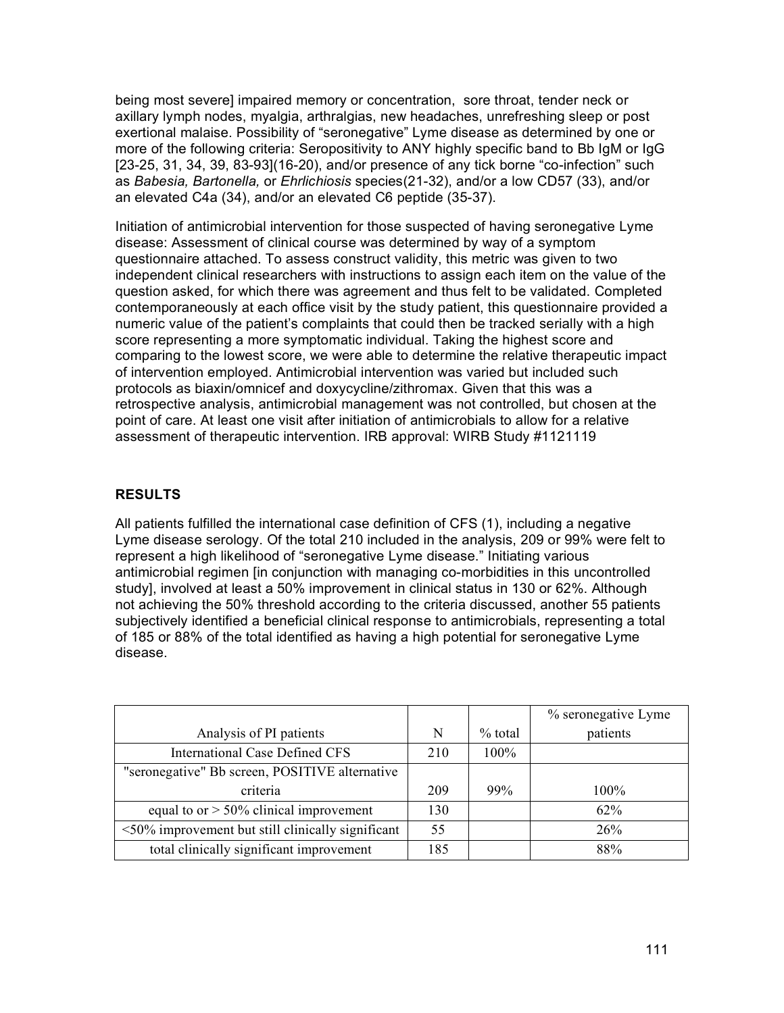being most severe] impaired memory or concentration, sore throat, tender neck or axillary lymph nodes, myalgia, arthralgias, new headaches, unrefreshing sleep or post exertional malaise. Possibility of "seronegative" Lyme disease as determined by one or more of the following criteria: Seropositivity to ANY highly specific band to Bb IgM or IgG [23-25, 31, 34, 39, 83-93](16-20), and/or presence of any tick borne "co-infection" such as *Babesia, Bartonella,* or *Ehrlichiosis* species(21-32), and/or a low CD57 (33), and/or an elevated C4a (34), and/or an elevated C6 peptide (35-37).

Initiation of antimicrobial intervention for those suspected of having seronegative Lyme disease: Assessment of clinical course was determined by way of a symptom questionnaire attached. To assess construct validity, this metric was given to two independent clinical researchers with instructions to assign each item on the value of the question asked, for which there was agreement and thus felt to be validated. Completed contemporaneously at each office visit by the study patient, this questionnaire provided a numeric value of the patient's complaints that could then be tracked serially with a high score representing a more symptomatic individual. Taking the highest score and comparing to the lowest score, we were able to determine the relative therapeutic impact of intervention employed. Antimicrobial intervention was varied but included such protocols as biaxin/omnicef and doxycycline/zithromax. Given that this was a retrospective analysis, antimicrobial management was not controlled, but chosen at the point of care. At least one visit after initiation of antimicrobials to allow for a relative assessment of therapeutic intervention. IRB approval: WIRB Study #1121119

### **RESULTS**

All patients fulfilled the international case definition of CFS (1), including a negative Lyme disease serology. Of the total 210 included in the analysis, 209 or 99% were felt to represent a high likelihood of "seronegative Lyme disease." Initiating various antimicrobial regimen [in conjunction with managing co-morbidities in this uncontrolled study], involved at least a 50% improvement in clinical status in 130 or 62%. Although not achieving the 50% threshold according to the criteria discussed, another 55 patients subjectively identified a beneficial clinical response to antimicrobials, representing a total of 185 or 88% of the total identified as having a high potential for seronegative Lyme disease.

|                                                          |     |           | % seronegative Lyme |
|----------------------------------------------------------|-----|-----------|---------------------|
| Analysis of PI patients                                  | N   | $%$ total | patients            |
| <b>International Case Defined CFS</b>                    | 210 | $100\%$   |                     |
| "seronegative" Bb screen, POSITIVE alternative           |     |           |                     |
| criteria                                                 | 209 | 99%       | 100%                |
| equal to or $> 50\%$ clinical improvement                | 130 |           | 62%                 |
| $\leq 50\%$ improvement but still clinically significant | 55  |           | 26%                 |
| total clinically significant improvement                 | 185 |           | 88%                 |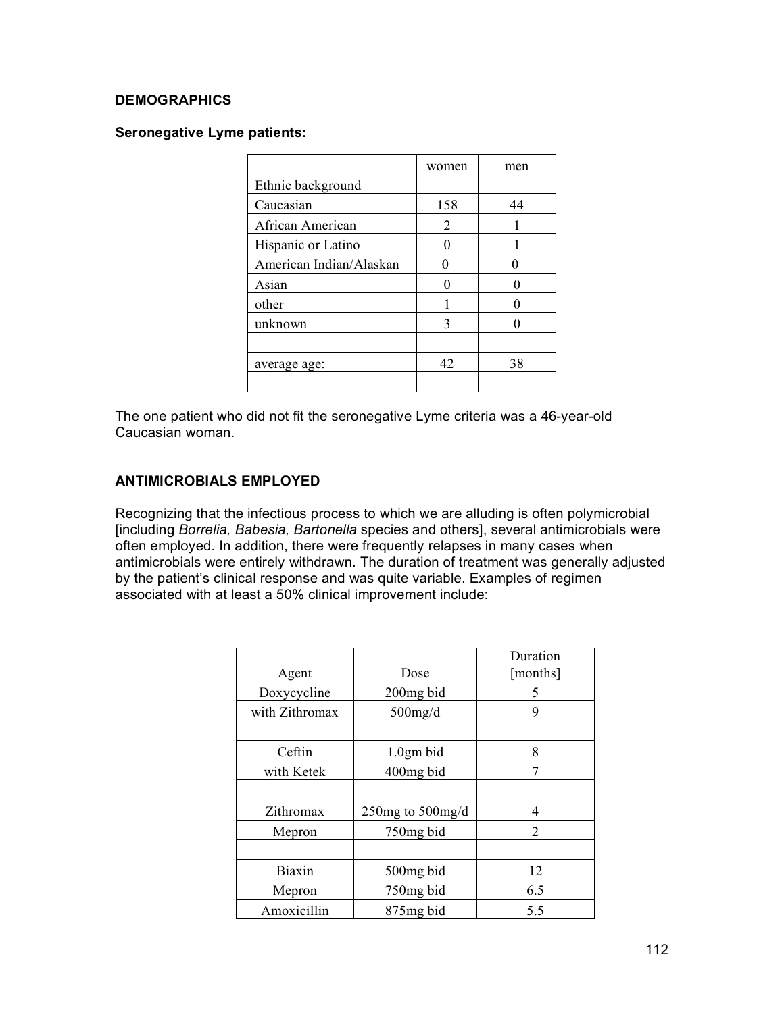#### **DEMOGRAPHICS**

#### **Seronegative Lyme patients:**

|                         | women | men |
|-------------------------|-------|-----|
| Ethnic background       |       |     |
| Caucasian               | 158   | 44  |
| African American        | 2     |     |
| Hispanic or Latino      |       |     |
| American Indian/Alaskan |       |     |
| Asian                   |       |     |
| other                   |       |     |
| unknown                 | 3     |     |
|                         |       |     |
| average age:            | 42    | 38  |
|                         |       |     |

The one patient who did not fit the seronegative Lyme criteria was a 46-year-old Caucasian woman.

### **ANTIMICROBIALS EMPLOYED**

Recognizing that the infectious process to which we are alluding is often polymicrobial [including *Borrelia, Babesia, Bartonella* species and others], several antimicrobials were often employed. In addition, there were frequently relapses in many cases when antimicrobials were entirely withdrawn. The duration of treatment was generally adjusted by the patient's clinical response and was quite variable. Examples of regimen associated with at least a 50% clinical improvement include:

|                |                        | Duration       |
|----------------|------------------------|----------------|
| Agent          | Dose                   | [months]       |
| Doxycycline    | 200 <sub>mg</sub> bid  | 5              |
| with Zithromax | $500$ mg/d             | 9              |
|                |                        |                |
| Ceftin         | $1.0$ gm bid           | 8              |
| with Ketek     | 400mg bid              |                |
|                |                        |                |
| Zithromax      | 250 $mg$ to 500 $mg/d$ | 4              |
| Mepron         | 750mg bid              | $\overline{2}$ |
|                |                        |                |
| Biaxin         | 500 <sub>mg</sub> bid  | 12             |
| Mepron         | 750mg bid              | 6.5            |
| Amoxicillin    | 875 <sub>mg</sub> bid  | 5.5            |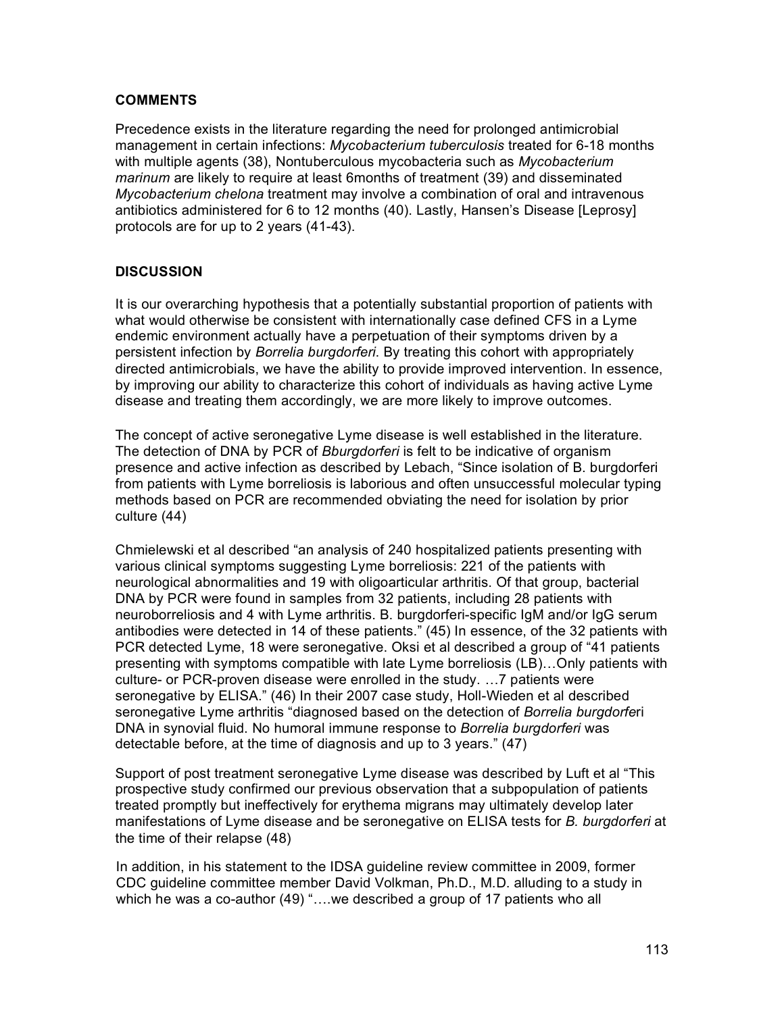#### **COMMENTS**

Precedence exists in the literature regarding the need for prolonged antimicrobial management in certain infections: *Mycobacterium tuberculosis* treated for 6-18 months with multiple agents (38), Nontuberculous mycobacteria such as *Mycobacterium marinum* are likely to require at least 6months of treatment (39) and disseminated *Mycobacterium chelona* treatment may involve a combination of oral and intravenous antibiotics administered for 6 to 12 months (40). Lastly, Hansen's Disease [Leprosy] protocols are for up to 2 years (41-43).

### **DISCUSSION**

It is our overarching hypothesis that a potentially substantial proportion of patients with what would otherwise be consistent with internationally case defined CFS in a Lyme endemic environment actually have a perpetuation of their symptoms driven by a persistent infection by *Borrelia burgdorferi*. By treating this cohort with appropriately directed antimicrobials, we have the ability to provide improved intervention. In essence, by improving our ability to characterize this cohort of individuals as having active Lyme disease and treating them accordingly, we are more likely to improve outcomes.

The concept of active seronegative Lyme disease is well established in the literature. The detection of DNA by PCR of *Bburgdorferi* is felt to be indicative of organism presence and active infection as described by Lebach, "Since isolation of B. burgdorferi from patients with Lyme borreliosis is laborious and often unsuccessful molecular typing methods based on PCR are recommended obviating the need for isolation by prior culture (44)

Chmielewski et al described "an analysis of 240 hospitalized patients presenting with various clinical symptoms suggesting Lyme borreliosis: 221 of the patients with neurological abnormalities and 19 with oligoarticular arthritis. Of that group, bacterial DNA by PCR were found in samples from 32 patients, including 28 patients with neuroborreliosis and 4 with Lyme arthritis. B. burgdorferi-specific IgM and/or IgG serum antibodies were detected in 14 of these patients." (45) In essence, of the 32 patients with PCR detected Lyme, 18 were seronegative. Oksi et al described a group of "41 patients presenting with symptoms compatible with late Lyme borreliosis (LB)…Only patients with culture- or PCR-proven disease were enrolled in the study. …7 patients were seronegative by ELISA." (46) In their 2007 case study, Holl-Wieden et al described seronegative Lyme arthritis "diagnosed based on the detection of *Borrelia burgdorfe*ri DNA in synovial fluid. No humoral immune response to *Borrelia burgdorferi* was detectable before, at the time of diagnosis and up to 3 years." (47)

Support of post treatment seronegative Lyme disease was described by Luft et al "This prospective study confirmed our previous observation that a subpopulation of patients treated promptly but ineffectively for erythema migrans may ultimately develop later manifestations of Lyme disease and be seronegative on ELISA tests for *B. burgdorferi* at the time of their relapse (48)

In addition, in his statement to the IDSA guideline review committee in 2009, former CDC guideline committee member David Volkman, Ph.D., M.D. alluding to a study in which he was a co-author (49) "....we described a group of 17 patients who all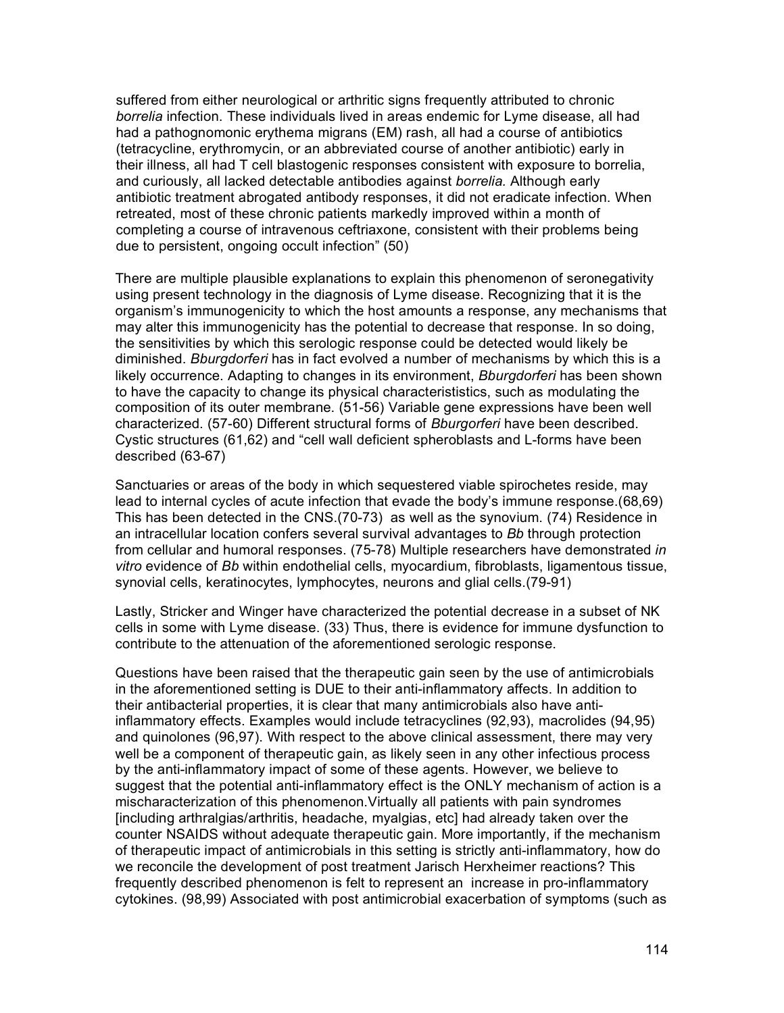suffered from either neurological or arthritic signs frequently attributed to chronic *borrelia* infection. These individuals lived in areas endemic for Lyme disease, all had had a pathognomonic erythema migrans (EM) rash, all had a course of antibiotics (tetracycline, erythromycin, or an abbreviated course of another antibiotic) early in their illness, all had T cell blastogenic responses consistent with exposure to borrelia, and curiously, all lacked detectable antibodies against *borrelia.* Although early antibiotic treatment abrogated antibody responses, it did not eradicate infection. When retreated, most of these chronic patients markedly improved within a month of completing a course of intravenous ceftriaxone, consistent with their problems being due to persistent, ongoing occult infection" (50)

There are multiple plausible explanations to explain this phenomenon of seronegativity using present technology in the diagnosis of Lyme disease. Recognizing that it is the organism's immunogenicity to which the host amounts a response, any mechanisms that may alter this immunogenicity has the potential to decrease that response. In so doing, the sensitivities by which this serologic response could be detected would likely be diminished. *Bburgdorferi* has in fact evolved a number of mechanisms by which this is a likely occurrence. Adapting to changes in its environment, *Bburgdorferi* has been shown to have the capacity to change its physical characterististics, such as modulating the composition of its outer membrane. (51-56) Variable gene expressions have been well characterized. (57-60) Different structural forms of *Bburgorferi* have been described. Cystic structures (61,62) and "cell wall deficient spheroblasts and L-forms have been described (63-67)

Sanctuaries or areas of the body in which sequestered viable spirochetes reside, may lead to internal cycles of acute infection that evade the body's immune response.(68,69) This has been detected in the CNS.(70-73) as well as the synovium. (74) Residence in an intracellular location confers several survival advantages to *Bb* through protection from cellular and humoral responses. (75-78) Multiple researchers have demonstrated *in vitro* evidence of *Bb* within endothelial cells, myocardium, fibroblasts, ligamentous tissue, synovial cells, keratinocytes, lymphocytes, neurons and glial cells.(79-91)

Lastly, Stricker and Winger have characterized the potential decrease in a subset of NK cells in some with Lyme disease. (33) Thus, there is evidence for immune dysfunction to contribute to the attenuation of the aforementioned serologic response.

Questions have been raised that the therapeutic gain seen by the use of antimicrobials in the aforementioned setting is DUE to their anti-inflammatory affects. In addition to their antibacterial properties, it is clear that many antimicrobials also have antiinflammatory effects. Examples would include tetracyclines (92,93), macrolides (94,95) and quinolones (96,97). With respect to the above clinical assessment, there may very well be a component of therapeutic gain, as likely seen in any other infectious process by the anti-inflammatory impact of some of these agents. However, we believe to suggest that the potential anti-inflammatory effect is the ONLY mechanism of action is a mischaracterization of this phenomenon.Virtually all patients with pain syndromes [including arthralgias/arthritis, headache, myalgias, etc] had already taken over the counter NSAIDS without adequate therapeutic gain. More importantly, if the mechanism of therapeutic impact of antimicrobials in this setting is strictly anti-inflammatory, how do we reconcile the development of post treatment Jarisch Herxheimer reactions? This frequently described phenomenon is felt to represent an increase in pro-inflammatory cytokines. (98,99) Associated with post antimicrobial exacerbation of symptoms (such as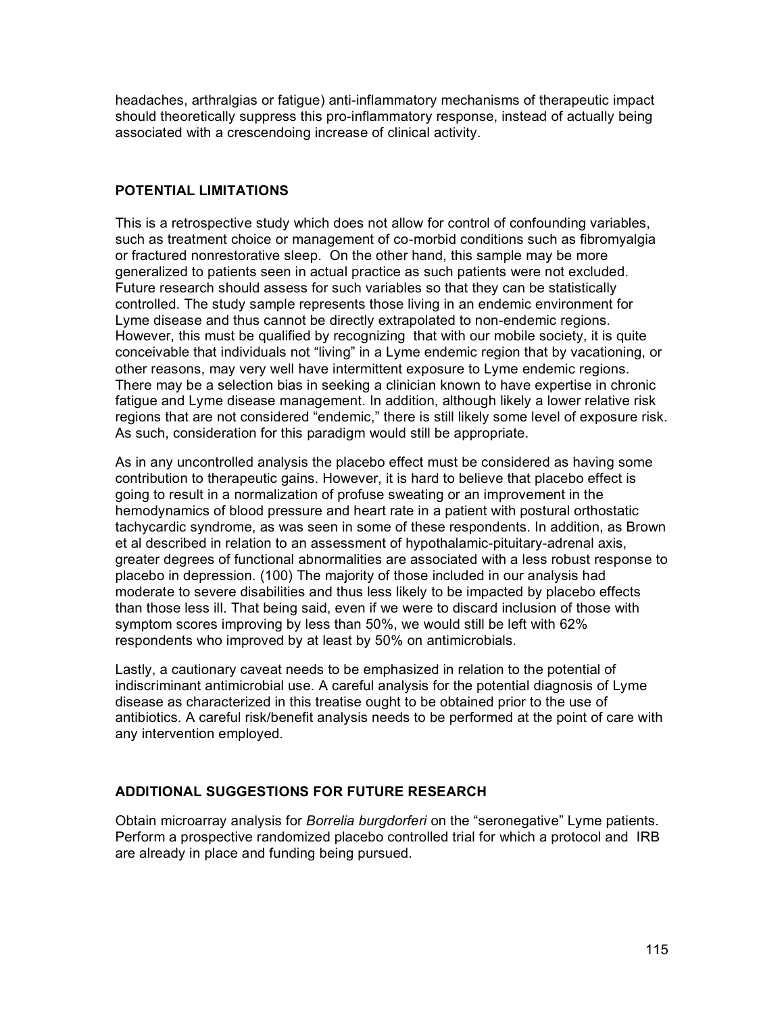headaches, arthralgias or fatigue) anti-inflammatory mechanisms of therapeutic impact should theoretically suppress this pro-inflammatory response, instead of actually being associated with a crescendoing increase of clinical activity.

#### **POTENTIAL LIMITATIONS**

This is a retrospective study which does not allow for control of confounding variables, such as treatment choice or management of co-morbid conditions such as fibromyalgia or fractured nonrestorative sleep. On the other hand, this sample may be more generalized to patients seen in actual practice as such patients were not excluded. Future research should assess for such variables so that they can be statistically controlled. The study sample represents those living in an endemic environment for Lyme disease and thus cannot be directly extrapolated to non-endemic regions. However, this must be qualified by recognizing that with our mobile society, it is quite conceivable that individuals not "living" in a Lyme endemic region that by vacationing, or other reasons, may very well have intermittent exposure to Lyme endemic regions. There may be a selection bias in seeking a clinician known to have expertise in chronic fatigue and Lyme disease management. In addition, although likely a lower relative risk regions that are not considered "endemic," there is still likely some level of exposure risk. As such, consideration for this paradigm would still be appropriate.

As in any uncontrolled analysis the placebo effect must be considered as having some contribution to therapeutic gains. However, it is hard to believe that placebo effect is going to result in a normalization of profuse sweating or an improvement in the hemodynamics of blood pressure and heart rate in a patient with postural orthostatic tachycardic syndrome, as was seen in some of these respondents. In addition, as Brown et al described in relation to an assessment of hypothalamic-pituitary-adrenal axis, greater degrees of functional abnormalities are associated with a less robust response to placebo in depression. (100) The majority of those included in our analysis had moderate to severe disabilities and thus less likely to be impacted by placebo effects than those less ill. That being said, even if we were to discard inclusion of those with symptom scores improving by less than 50%, we would still be left with 62% respondents who improved by at least by 50% on antimicrobials.

Lastly, a cautionary caveat needs to be emphasized in relation to the potential of indiscriminant antimicrobial use. A careful analysis for the potential diagnosis of Lyme disease as characterized in this treatise ought to be obtained prior to the use of antibiotics. A careful risk/benefit analysis needs to be performed at the point of care with any intervention employed.

# **ADDITIONAL SUGGESTIONS FOR FUTURE RESEARCH**

Obtain microarray analysis for *Borrelia burgdorferi* on the "seronegative" Lyme patients. Perform a prospective randomized placebo controlled trial for which a protocol and IRB are already in place and funding being pursued.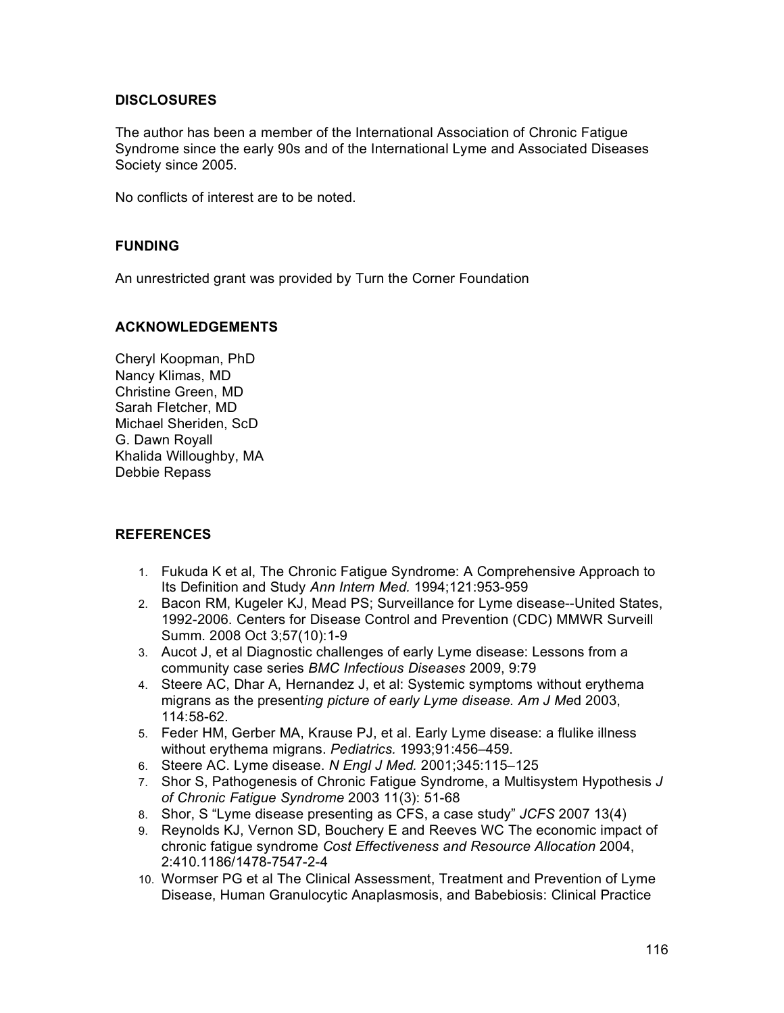#### **DISCLOSURES**

The author has been a member of the International Association of Chronic Fatigue Syndrome since the early 90s and of the International Lyme and Associated Diseases Society since 2005.

No conflicts of interest are to be noted.

#### **FUNDING**

An unrestricted grant was provided by Turn the Corner Foundation

#### **ACKNOWLEDGEMENTS**

Cheryl Koopman, PhD Nancy Klimas, MD Christine Green, MD Sarah Fletcher, MD Michael Sheriden, ScD G. Dawn Royall Khalida Willoughby, MA Debbie Repass

#### **REFERENCES**

- 1. Fukuda K et al, The Chronic Fatigue Syndrome: A Comprehensive Approach to Its Definition and Study *Ann Intern Med.* 1994;121:953-959
- 2. Bacon RM, Kugeler KJ, Mead PS; Surveillance for Lyme disease--United States, 1992-2006. Centers for Disease Control and Prevention (CDC) MMWR Surveill Summ. 2008 Oct 3;57(10):1-9
- 3. Aucot J, et al Diagnostic challenges of early Lyme disease: Lessons from a community case series *BMC Infectious Diseases* 2009, 9:79
- 4. Steere AC, Dhar A, Hernandez J, et al: Systemic symptoms without erythema migrans as the present*ing picture of early Lyme disease. Am J Me*d 2003, 114:58-62.
- 5. Feder HM, Gerber MA, Krause PJ, et al. Early Lyme disease: a flulike illness without erythema migrans. *Pediatrics.* 1993;91:456–459.
- 6. Steere AC. Lyme disease. *N Engl J Med.* 2001;345:115–125
- 7. Shor S, Pathogenesis of Chronic Fatigue Syndrome, a Multisystem Hypothesis *J of Chronic Fatigue Syndrome* 2003 11(3): 51-68
- 8. Shor, S "Lyme disease presenting as CFS, a case study" *JCFS* 2007 13(4)
- 9. Reynolds KJ, Vernon SD, Bouchery E and Reeves WC The economic impact of chronic fatigue syndrome *Cost Effectiveness and Resource Allocation* 2004, 2:410.1186/1478-7547-2-4
- 10. Wormser PG et al The Clinical Assessment, Treatment and Prevention of Lyme Disease, Human Granulocytic Anaplasmosis, and Babebiosis: Clinical Practice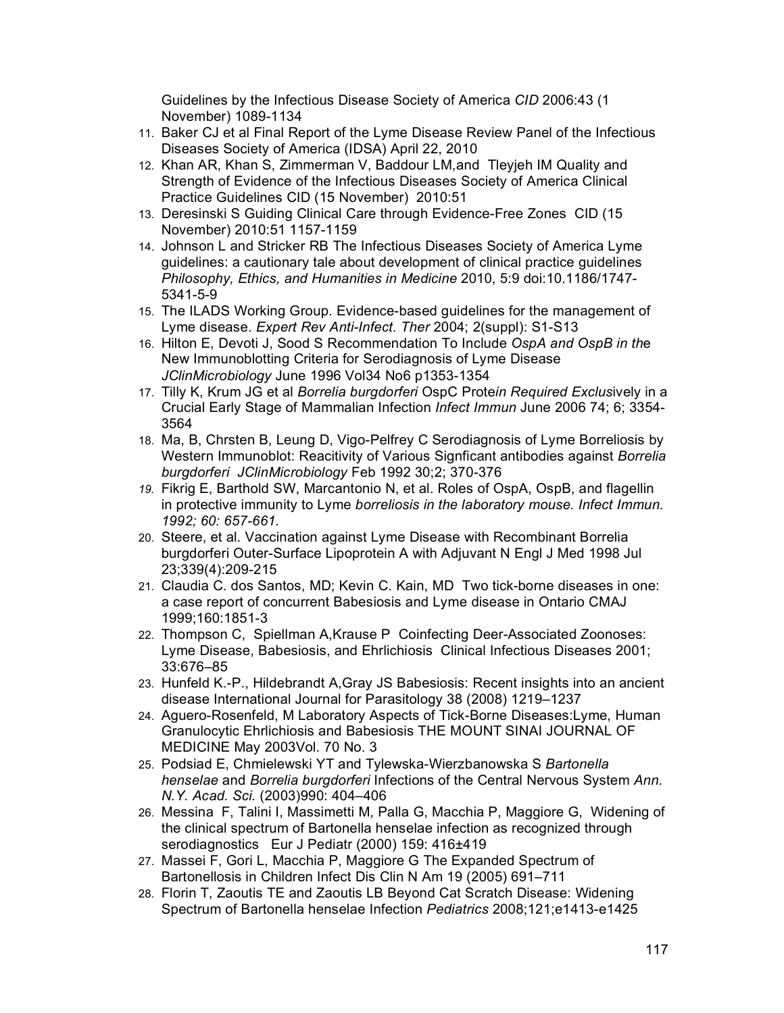Guidelines by the Infectious Disease Society of America *CID* 2006:43 (1 November) 1089-1134

- 11. Baker CJ et al Final Report of the Lyme Disease Review Panel of the Infectious Diseases Society of America (IDSA) April 22, 2010
- 12. Khan AR, Khan S, Zimmerman V, Baddour LM,and Tleyjeh IM Quality and Strength of Evidence of the Infectious Diseases Society of America Clinical Practice Guidelines CID (15 November) 2010:51
- 13. Deresinski S Guiding Clinical Care through Evidence-Free Zones CID (15 November) 2010:51 1157-1159
- 14. Johnson L and Stricker RB The Infectious Diseases Society of America Lyme guidelines: a cautionary tale about development of clinical practice guidelines *Philosophy, Ethics, and Humanities in Medicine* 2010, 5:9 doi:10.1186/1747- 5341-5-9
- 15. The ILADS Working Group. Evidence-based guidelines for the management of Lyme disease. *Expert Rev Anti-Infect. Ther* 2004; 2(suppl): S1-S13
- 16. Hilton E, Devoti J, Sood S Recommendation To Include *OspA and OspB in th*e New Immunoblotting Criteria for Serodiagnosis of Lyme Disease *JClinMicrobiology* June 1996 Vol34 No6 p1353-1354
- 17. Tilly K, Krum JG et al *Borrelia burgdorferi* OspC Prote*in Required Exclus*ively in a Crucial Early Stage of Mammalian Infection *Infect Immun* June 2006 74; 6; 3354- 3564
- 18. Ma, B, Chrsten B, Leung D, Vigo-Pelfrey C Serodiagnosis of Lyme Borreliosis by Western Immunoblot: Reacitivity of Various Signficant antibodies against *Borrelia burgdorferi JClinMicrobiology* Feb 1992 30;2; 370-376
- *19.* Fikrig E, Barthold SW, Marcantonio N, et al. Roles of OspA, OspB, and flagellin in protective immunity to Lyme *borreliosis in the laboratory mouse. Infect Immun. 1992; 60: 657-661.*
- 20. Steere, et al. Vaccination against Lyme Disease with Recombinant Borrelia burgdorferi Outer-Surface Lipoprotein A with Adjuvant N Engl J Med 1998 Jul 23;339(4):209-215
- 21. Claudia C. dos Santos, MD; Kevin C. Kain, MD Two tick-borne diseases in one: a case report of concurrent Babesiosis and Lyme disease in Ontario CMAJ 1999;160:1851-3
- 22. Thompson C, Spiellman A,Krause P Coinfecting Deer-Associated Zoonoses: Lyme Disease, Babesiosis, and Ehrlichiosis Clinical Infectious Diseases 2001; 33:676–85
- 23. Hunfeld K.-P., Hildebrandt A,Gray JS Babesiosis: Recent insights into an ancient disease International Journal for Parasitology 38 (2008) 1219–1237
- 24. Aguero-Rosenfeld, M Laboratory Aspects of Tick-Borne Diseases:Lyme, Human Granulocytic Ehrlichiosis and Babesiosis THE MOUNT SINAI JOURNAL OF MEDICINE May 2003Vol. 70 No. 3
- 25. Podsiad E, Chmielewski YT and Tylewska-Wierzbanowska S *Bartonella henselae* and *Borrelia burgdorferi* Infections of the Central Nervous System *Ann. N.Y. Acad. Sci.* (2003)990: 404–406
- 26. Messina F, Talini I, Massimetti M, Palla G, Macchia P, Maggiore G, Widening of the clinical spectrum of Bartonella henselae infection as recognized through serodiagnostics Eur J Pediatr (2000) 159: 416±419
- 27. Massei F, Gori L, Macchia P, Maggiore G The Expanded Spectrum of Bartonellosis in Children Infect Dis Clin N Am 19 (2005) 691–711
- 28. Florin T, Zaoutis TE and Zaoutis LB Beyond Cat Scratch Disease: Widening Spectrum of Bartonella henselae Infection *Pediatrics* 2008;121;e1413-e1425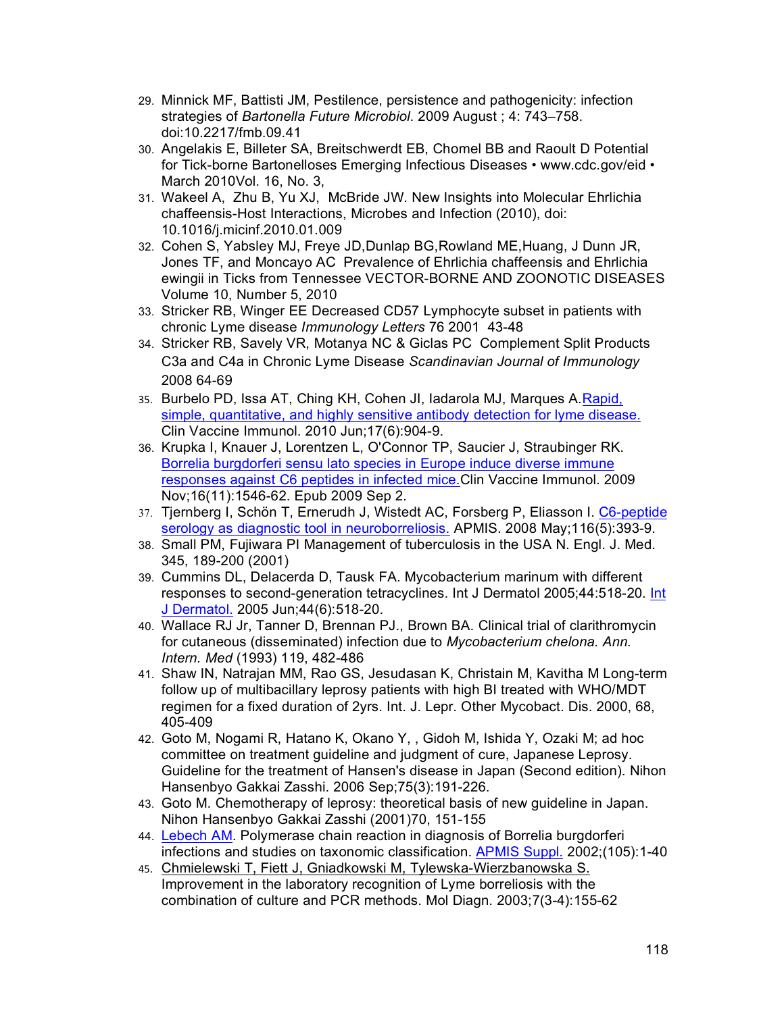- 29. Minnick MF, Battisti JM, Pestilence, persistence and pathogenicity: infection strategies of *Bartonella Future Microbiol*. 2009 August ; 4: 743–758. doi:10.2217/fmb.09.41
- 30. Angelakis E, Billeter SA, Breitschwerdt EB, Chomel BB and Raoult D Potential for Tick-borne Bartonelloses Emerging Infectious Diseases • www.cdc.gov/eid • March 2010Vol. 16, No. 3,
- 31. Wakeel A, Zhu B, Yu XJ, McBride JW. New Insights into Molecular Ehrlichia chaffeensis-Host Interactions, Microbes and Infection (2010), doi: 10.1016/j.micinf.2010.01.009
- 32. Cohen S, Yabsley MJ, Freye JD,Dunlap BG,Rowland ME,Huang, J Dunn JR, Jones TF, and Moncayo AC Prevalence of Ehrlichia chaffeensis and Ehrlichia ewingii in Ticks from Tennessee VECTOR-BORNE AND ZOONOTIC DISEASES Volume 10, Number 5, 2010
- 33. Stricker RB, Winger EE Decreased CD57 Lymphocyte subset in patients with chronic Lyme disease *Immunology Letters* 76 2001 43-48
- 34. Stricker RB, Savely VR, Motanya NC & Giclas PC Complement Split Products C3a and C4a in Chronic Lyme Disease *Scandinavian Journal of Immunology* 2008 64-69
- 35. Burbelo PD, Issa AT, Ching KH, Cohen JI, Iadarola MJ, Marques A.Rapid, simple, quantitative, and highly sensitive antibody detection for lyme disease. Clin Vaccine Immunol. 2010 Jun;17(6):904-9.
- 36. Krupka I, Knauer J, Lorentzen L, O'Connor TP, Saucier J, Straubinger RK. Borrelia burgdorferi sensu lato species in Europe induce diverse immune responses against C6 peptides in infected mice.Clin Vaccine Immunol. 2009 Nov;16(11):1546-62. Epub 2009 Sep 2.
- 37. Tjernberg I, Schön T, Ernerudh J, Wistedt AC, Forsberg P, Eliasson I. C6-peptide serology as diagnostic tool in neuroborreliosis. APMIS. 2008 May;116(5):393-9.
- 38. Small PM, Fujiwara PI Management of tuberculosis in the USA N. Engl. J. Med. 345, 189-200 (2001)
- 39. Cummins DL, Delacerda D, Tausk FA. Mycobacterium marinum with different responses to second-generation tetracyclines. Int J Dermatol 2005;44:518-20. Int J Dermatol. 2005 Jun;44(6):518-20.
- 40. Wallace RJ Jr, Tanner D, Brennan PJ., Brown BA. Clinical trial of clarithromycin for cutaneous (disseminated) infection due to *Mycobacterium chelona. Ann. Intern. Med* (1993) 119, 482-486
- 41. Shaw IN, Natrajan MM, Rao GS, Jesudasan K, Christain M, Kavitha M Long-term follow up of multibacillary leprosy patients with high BI treated with WHO/MDT regimen for a fixed duration of 2yrs. Int. J. Lepr. Other Mycobact. Dis. 2000, 68, 405-409
- 42. Goto M, Nogami R, Hatano K, Okano Y, , Gidoh M, Ishida Y, Ozaki M; ad hoc committee on treatment guideline and judgment of cure, Japanese Leprosy. Guideline for the treatment of Hansen's disease in Japan (Second edition). Nihon Hansenbyo Gakkai Zasshi. 2006 Sep;75(3):191-226.
- 43. Goto M. Chemotherapy of leprosy: theoretical basis of new guideline in Japan. Nihon Hansenbyo Gakkai Zasshi (2001)70, 151-155
- 44. Lebech AM. Polymerase chain reaction in diagnosis of Borrelia burgdorferi infections and studies on taxonomic classification. APMIS Suppl. 2002;(105):1-40
- 45. Chmielewski T, Fiett J, Gniadkowski M, Tylewska-Wierzbanowska S. Improvement in the laboratory recognition of Lyme borreliosis with the combination of culture and PCR methods. Mol Diagn. 2003;7(3-4):155-62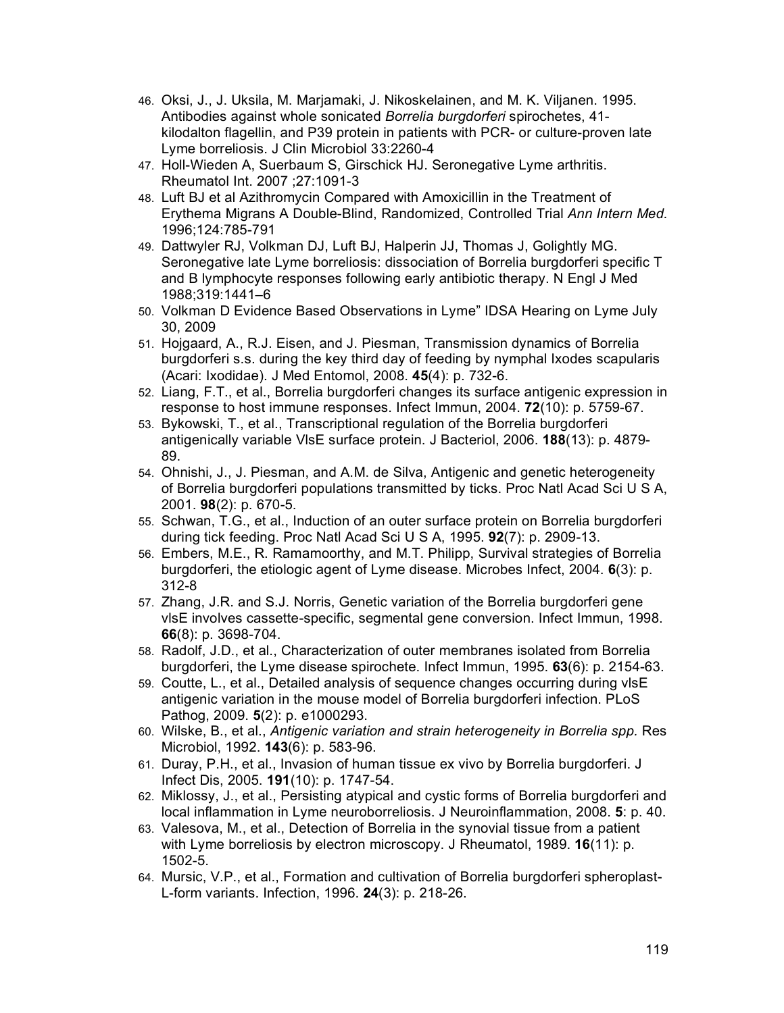- 46. Oksi, J., J. Uksila, M. Marjamaki, J. Nikoskelainen, and M. K. Viljanen. 1995. Antibodies against whole sonicated *Borrelia burgdorferi* spirochetes, 41 kilodalton flagellin, and P39 protein in patients with PCR- or culture-proven late Lyme borreliosis. J Clin Microbiol 33:2260-4
- 47. Holl-Wieden A, Suerbaum S, Girschick HJ. Seronegative Lyme arthritis. Rheumatol Int. 2007 ;27:1091-3
- 48. Luft BJ et al Azithromycin Compared with Amoxicillin in the Treatment of Erythema Migrans A Double-Blind, Randomized, Controlled Trial *Ann Intern Med.*  1996;124:785-791
- 49. Dattwyler RJ, Volkman DJ, Luft BJ, Halperin JJ, Thomas J, Golightly MG. Seronegative late Lyme borreliosis: dissociation of Borrelia burgdorferi specific T and B lymphocyte responses following early antibiotic therapy. N Engl J Med 1988;319:1441–6
- 50. Volkman D Evidence Based Observations in Lyme" IDSA Hearing on Lyme July 30, 2009
- 51. Hojgaard, A., R.J. Eisen, and J. Piesman, Transmission dynamics of Borrelia burgdorferi s.s. during the key third day of feeding by nymphal Ixodes scapularis (Acari: Ixodidae). J Med Entomol, 2008. **45**(4): p. 732-6.
- 52. Liang, F.T., et al., Borrelia burgdorferi changes its surface antigenic expression in response to host immune responses. Infect Immun, 2004. **72**(10): p. 5759-67.
- 53. Bykowski, T., et al., Transcriptional regulation of the Borrelia burgdorferi antigenically variable VlsE surface protein. J Bacteriol, 2006. **188**(13): p. 4879- 89.
- 54. Ohnishi, J., J. Piesman, and A.M. de Silva, Antigenic and genetic heterogeneity of Borrelia burgdorferi populations transmitted by ticks. Proc Natl Acad Sci U S A, 2001. **98**(2): p. 670-5.
- 55. Schwan, T.G., et al., Induction of an outer surface protein on Borrelia burgdorferi during tick feeding. Proc Natl Acad Sci U S A, 1995. **92**(7): p. 2909-13.
- 56. Embers, M.E., R. Ramamoorthy, and M.T. Philipp, Survival strategies of Borrelia burgdorferi, the etiologic agent of Lyme disease. Microbes Infect, 2004. **6**(3): p. 312-8
- 57. Zhang, J.R. and S.J. Norris, Genetic variation of the Borrelia burgdorferi gene vlsE involves cassette-specific, segmental gene conversion. Infect Immun, 1998. **66**(8): p. 3698-704.
- 58. Radolf, J.D., et al., Characterization of outer membranes isolated from Borrelia burgdorferi, the Lyme disease spirochete. Infect Immun, 1995. **63**(6): p. 2154-63.
- 59. Coutte, L., et al., Detailed analysis of sequence changes occurring during vlsE antigenic variation in the mouse model of Borrelia burgdorferi infection. PLoS Pathog, 2009. **5**(2): p. e1000293.
- 60. Wilske, B., et al., *Antigenic variation and strain heterogeneity in Borrelia spp.* Res Microbiol, 1992. **143**(6): p. 583-96.
- 61. Duray, P.H., et al., Invasion of human tissue ex vivo by Borrelia burgdorferi. J Infect Dis, 2005. **191**(10): p. 1747-54.
- 62. Miklossy, J., et al., Persisting atypical and cystic forms of Borrelia burgdorferi and local inflammation in Lyme neuroborreliosis. J Neuroinflammation, 2008. **5**: p. 40.
- 63. Valesova, M., et al., Detection of Borrelia in the synovial tissue from a patient with Lyme borreliosis by electron microscopy. J Rheumatol, 1989. **16**(11): p. 1502-5.
- 64. Mursic, V.P., et al., Formation and cultivation of Borrelia burgdorferi spheroplast-L-form variants. Infection, 1996. **24**(3): p. 218-26.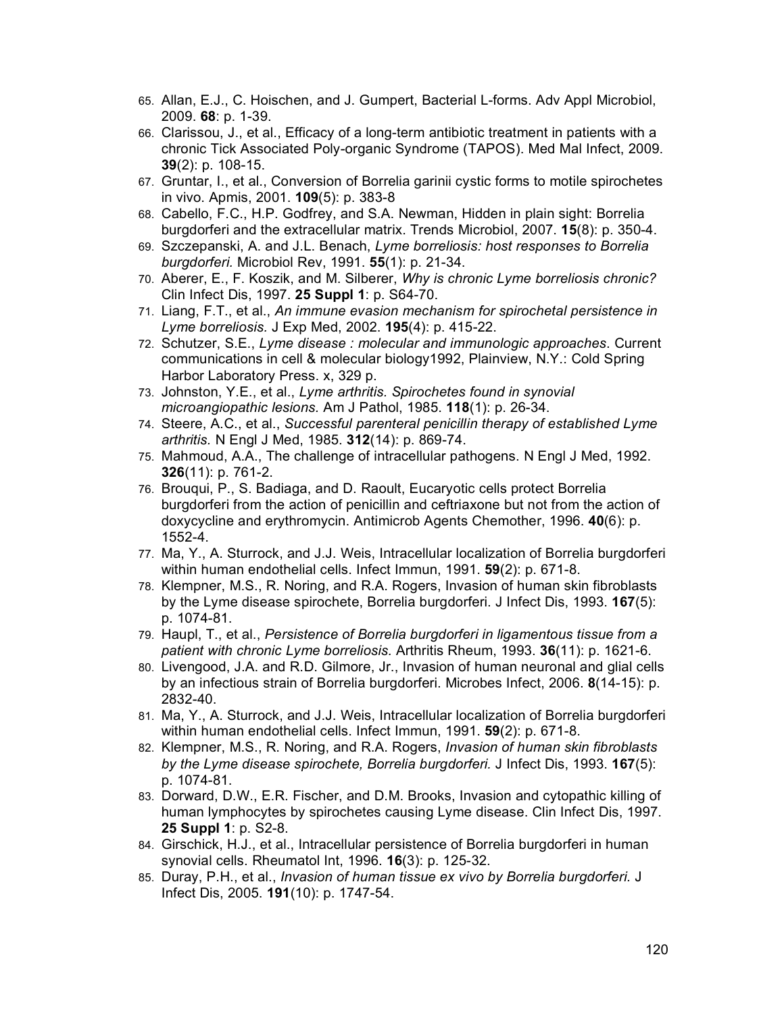- 65. Allan, E.J., C. Hoischen, and J. Gumpert, Bacterial L-forms. Adv Appl Microbiol, 2009. **68**: p. 1-39.
- 66. Clarissou, J., et al., Efficacy of a long-term antibiotic treatment in patients with a chronic Tick Associated Poly-organic Syndrome (TAPOS). Med Mal Infect, 2009. **39**(2): p. 108-15.
- 67. Gruntar, I., et al., Conversion of Borrelia garinii cystic forms to motile spirochetes in vivo. Apmis, 2001. **109**(5): p. 383-8
- 68. Cabello, F.C., H.P. Godfrey, and S.A. Newman, Hidden in plain sight: Borrelia burgdorferi and the extracellular matrix. Trends Microbiol, 2007. **15**(8): p. 350-4.
- 69. Szczepanski, A. and J.L. Benach, *Lyme borreliosis: host responses to Borrelia burgdorferi.* Microbiol Rev, 1991. **55**(1): p. 21-34.
- 70. Aberer, E., F. Koszik, and M. Silberer, *Why is chronic Lyme borreliosis chronic?* Clin Infect Dis, 1997. **25 Suppl 1**: p. S64-70.
- 71. Liang, F.T., et al., *An immune evasion mechanism for spirochetal persistence in Lyme borreliosis.* J Exp Med, 2002. **195**(4): p. 415-22.
- 72. Schutzer, S.E., *Lyme disease : molecular and immunologic approaches*. Current communications in cell & molecular biology1992, Plainview, N.Y.: Cold Spring Harbor Laboratory Press. x, 329 p.
- 73. Johnston, Y.E., et al., *Lyme arthritis. Spirochetes found in synovial microangiopathic lesions.* Am J Pathol, 1985. **118**(1): p. 26-34.
- 74. Steere, A.C., et al., *Successful parenteral penicillin therapy of established Lyme arthritis.* N Engl J Med, 1985. **312**(14): p. 869-74.
- 75. Mahmoud, A.A., The challenge of intracellular pathogens. N Engl J Med, 1992. **326**(11): p. 761-2.
- 76. Brouqui, P., S. Badiaga, and D. Raoult, Eucaryotic cells protect Borrelia burgdorferi from the action of penicillin and ceftriaxone but not from the action of doxycycline and erythromycin. Antimicrob Agents Chemother, 1996. **40**(6): p. 1552-4.
- 77. Ma, Y., A. Sturrock, and J.J. Weis, Intracellular localization of Borrelia burgdorferi within human endothelial cells. Infect Immun, 1991. **59**(2): p. 671-8.
- 78. Klempner, M.S., R. Noring, and R.A. Rogers, Invasion of human skin fibroblasts by the Lyme disease spirochete, Borrelia burgdorferi. J Infect Dis, 1993. **167**(5): p. 1074-81.
- 79. Haupl, T., et al., *Persistence of Borrelia burgdorferi in ligamentous tissue from a patient with chronic Lyme borreliosis.* Arthritis Rheum, 1993. **36**(11): p. 1621-6.
- 80. Livengood, J.A. and R.D. Gilmore, Jr., Invasion of human neuronal and glial cells by an infectious strain of Borrelia burgdorferi. Microbes Infect, 2006. **8**(14-15): p. 2832-40.
- 81. Ma, Y., A. Sturrock, and J.J. Weis, Intracellular localization of Borrelia burgdorferi within human endothelial cells. Infect Immun, 1991. **59**(2): p. 671-8.
- 82. Klempner, M.S., R. Noring, and R.A. Rogers, *Invasion of human skin fibroblasts by the Lyme disease spirochete, Borrelia burgdorferi.* J Infect Dis, 1993. **167**(5): p. 1074-81.
- 83. Dorward, D.W., E.R. Fischer, and D.M. Brooks, Invasion and cytopathic killing of human lymphocytes by spirochetes causing Lyme disease. Clin Infect Dis, 1997. **25 Suppl 1**: p. S2-8.
- 84. Girschick, H.J., et al., Intracellular persistence of Borrelia burgdorferi in human synovial cells. Rheumatol Int, 1996. **16**(3): p. 125-32.
- 85. Duray, P.H., et al., *Invasion of human tissue ex vivo by Borrelia burgdorferi.* J Infect Dis, 2005. **191**(10): p. 1747-54.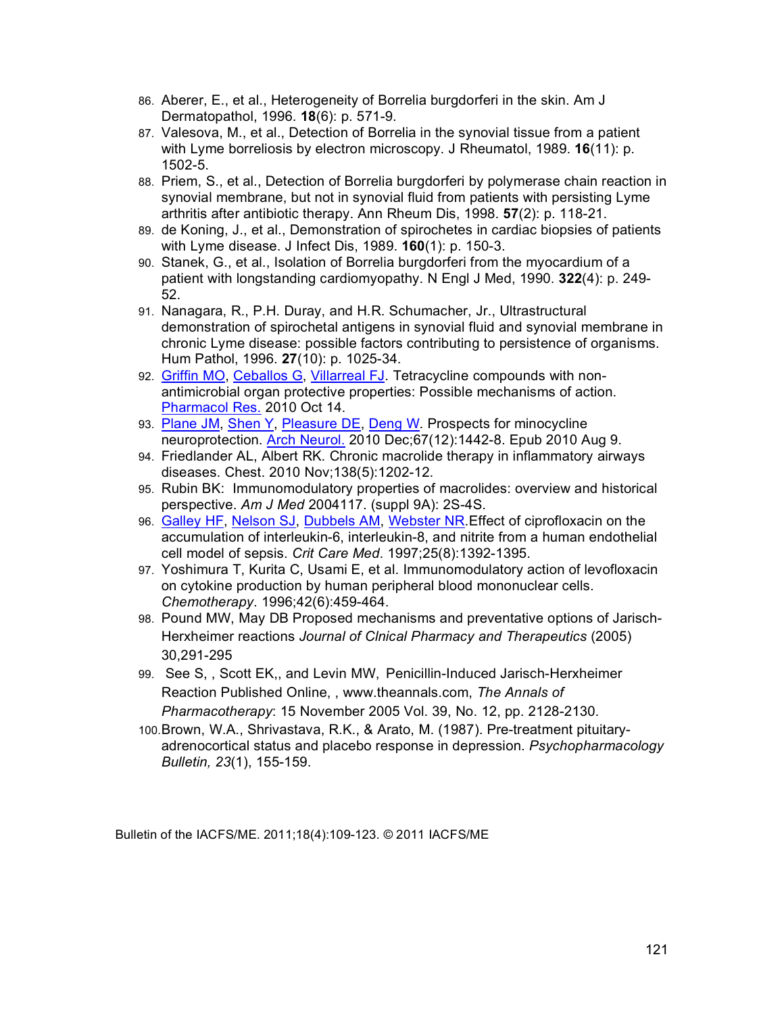- 86. Aberer, E., et al., Heterogeneity of Borrelia burgdorferi in the skin. Am J Dermatopathol, 1996. **18**(6): p. 571-9.
- 87. Valesova, M., et al., Detection of Borrelia in the synovial tissue from a patient with Lyme borreliosis by electron microscopy. J Rheumatol, 1989. **16**(11): p. 1502-5.
- 88. Priem, S., et al., Detection of Borrelia burgdorferi by polymerase chain reaction in synovial membrane, but not in synovial fluid from patients with persisting Lyme arthritis after antibiotic therapy. Ann Rheum Dis, 1998. **57**(2): p. 118-21.
- 89. de Koning, J., et al., Demonstration of spirochetes in cardiac biopsies of patients with Lyme disease. J Infect Dis, 1989. **160**(1): p. 150-3.
- 90. Stanek, G., et al., Isolation of Borrelia burgdorferi from the myocardium of a patient with longstanding cardiomyopathy. N Engl J Med, 1990. **322**(4): p. 249- 52.
- 91. Nanagara, R., P.H. Duray, and H.R. Schumacher, Jr., Ultrastructural demonstration of spirochetal antigens in synovial fluid and synovial membrane in chronic Lyme disease: possible factors contributing to persistence of organisms. Hum Pathol, 1996. **27**(10): p. 1025-34.
- 92. Griffin MO, Ceballos G, Villarreal FJ. Tetracycline compounds with nonantimicrobial organ protective properties: Possible mechanisms of action. Pharmacol Res. 2010 Oct 14.
- 93. Plane JM, Shen Y, Pleasure DE, Deng W. Prospects for minocycline neuroprotection. Arch Neurol. 2010 Dec;67(12):1442-8. Epub 2010 Aug 9.
- 94. Friedlander AL, Albert RK. Chronic macrolide therapy in inflammatory airways diseases. Chest. 2010 Nov;138(5):1202-12.
- 95. Rubin BK: Immunomodulatory properties of macrolides: overview and historical perspective. *Am J Med* 2004117. (suppl 9A): 2S-4S.
- 96. Galley HF, Nelson SJ, Dubbels AM, Webster NR. Effect of ciprofloxacin on the accumulation of interleukin-6, interleukin-8, and nitrite from a human endothelial cell model of sepsis. *Crit Care Med*. 1997;25(8):1392-1395.
- 97. Yoshimura T, Kurita C, Usami E, et al. Immunomodulatory action of levofloxacin on cytokine production by human peripheral blood mononuclear cells. *Chemotherapy*. 1996;42(6):459-464.
- 98. Pound MW, May DB Proposed mechanisms and preventative options of Jarisch-Herxheimer reactions *Journal of Clnical Pharmacy and Therapeutics* (2005) 30,291-295
- 99. See S, , Scott EK,, and Levin MW, Penicillin-Induced Jarisch-Herxheimer Reaction Published Online, , www.theannals.com, *The Annals of Pharmacotherapy*: 15 November 2005 Vol. 39, No. 12, pp. 2128-2130.
- 100.Brown, W.A., Shrivastava, R.K., & Arato, M. (1987). Pre-treatment pituitaryadrenocortical status and placebo response in depression. *Psychopharmacology Bulletin, 23*(1), 155-159.

Bulletin of the IACFS/ME. 2011;18(4):109-123. © 2011 IACFS/ME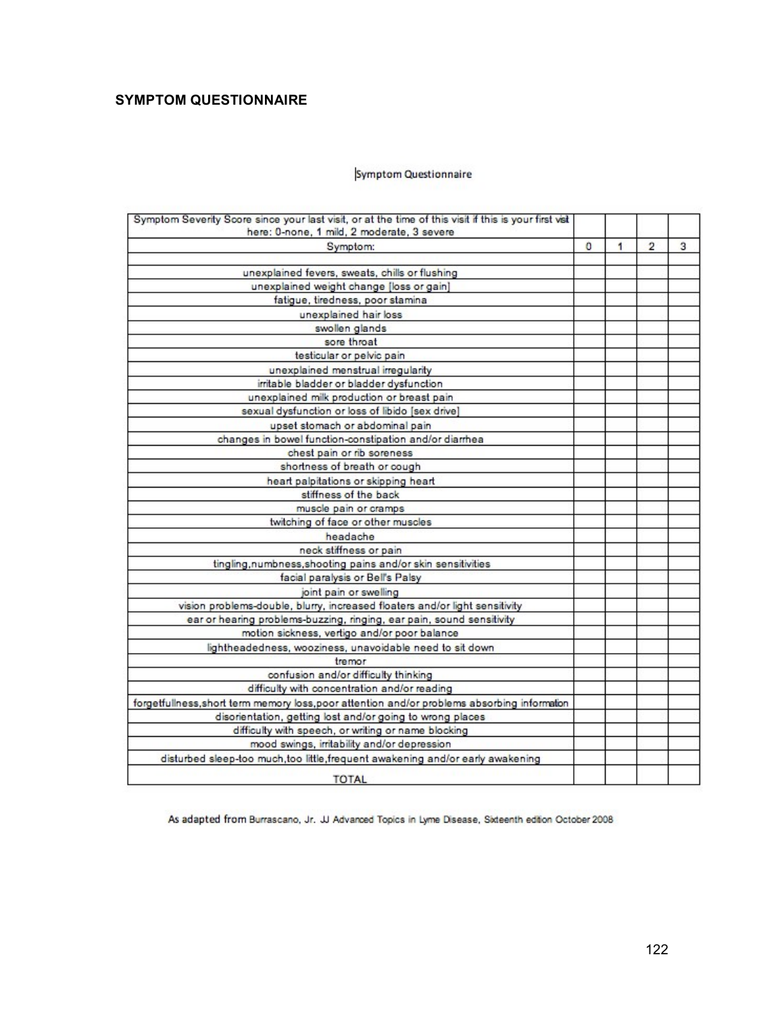# **SYMPTOM QUESTIONNAIRE**

#### Symptom Questionnaire

| Symptom Severity Score since your last visit, or at the time of this visit if this is your first visit<br>here: 0-none, 1 mild, 2 moderate, 3 severe |   |   |                |   |
|------------------------------------------------------------------------------------------------------------------------------------------------------|---|---|----------------|---|
| Symptom:                                                                                                                                             | 0 | 1 | $\overline{2}$ | 3 |
|                                                                                                                                                      |   |   |                |   |
| unexplained fevers, sweats, chills or flushing                                                                                                       |   |   |                |   |
| unexplained weight change [loss or gain]                                                                                                             |   |   |                |   |
| fatigue, tiredness, poor stamina                                                                                                                     |   |   |                |   |
| unexplained hair loss                                                                                                                                |   |   |                |   |
| swollen glands                                                                                                                                       |   |   |                |   |
| sore throat                                                                                                                                          |   |   |                |   |
| testicular or pelvic pain                                                                                                                            |   |   |                |   |
| unexplained menstrual irregularity                                                                                                                   |   |   |                |   |
| irritable bladder or bladder dysfunction                                                                                                             |   |   |                |   |
| unexplained milk production or breast pain                                                                                                           |   |   |                |   |
| sexual dysfunction or loss of libido [sex drive]                                                                                                     |   |   |                |   |
| upset stomach or abdominal pain                                                                                                                      |   |   |                |   |
| changes in bowel function-constipation and/or diarrhea                                                                                               |   |   |                |   |
| chest pain or rib soreness                                                                                                                           |   |   |                |   |
| shortness of breath or cough                                                                                                                         |   |   |                |   |
| heart palpitations or skipping heart                                                                                                                 |   |   |                |   |
| stiffness of the back                                                                                                                                |   |   |                |   |
| muscle pain or cramps                                                                                                                                |   |   |                |   |
| twitching of face or other muscles                                                                                                                   |   |   |                |   |
| headache                                                                                                                                             |   |   |                |   |
| neck stiffness or pain                                                                                                                               |   |   |                |   |
| tingling, numbness, shooting pains and/or skin sensitivities                                                                                         |   |   |                |   |
| facial paralysis or Bell's Palsy                                                                                                                     |   |   |                |   |
| joint pain or swelling                                                                                                                               |   |   |                |   |
| vision problems-double, blurry, increased floaters and/or light sensitivity                                                                          |   |   |                |   |
| ear or hearing problems-buzzing, ringing, ear pain, sound sensitivity                                                                                |   |   |                |   |
| motion sickness, vertigo and/or poor balance                                                                                                         |   |   |                |   |
| lightheadedness, wooziness, unavoidable need to sit down                                                                                             |   |   |                |   |
| tremor                                                                                                                                               |   |   |                |   |
| confusion and/or difficulty thinking                                                                                                                 |   |   |                |   |
| difficulty with concentration and/or reading                                                                                                         |   |   |                |   |
| forgetfullness, short term memory loss, poor attention and/or problems absorbing information                                                         |   |   |                |   |
| disorientation, getting lost and/or going to wrong places                                                                                            |   |   |                |   |
| difficulty with speech, or writing or name blocking                                                                                                  |   |   |                |   |
| mood swings, irritability and/or depression                                                                                                          |   |   |                |   |
| disturbed sleep-too much, too little, frequent awakening and/or early awakening                                                                      |   |   |                |   |
| <b>TOTAL</b>                                                                                                                                         |   |   |                |   |

As adapted from Burrascano, Jr. JJ Advanced Topics in Lyme Disease, Sixteenth edition October 2008